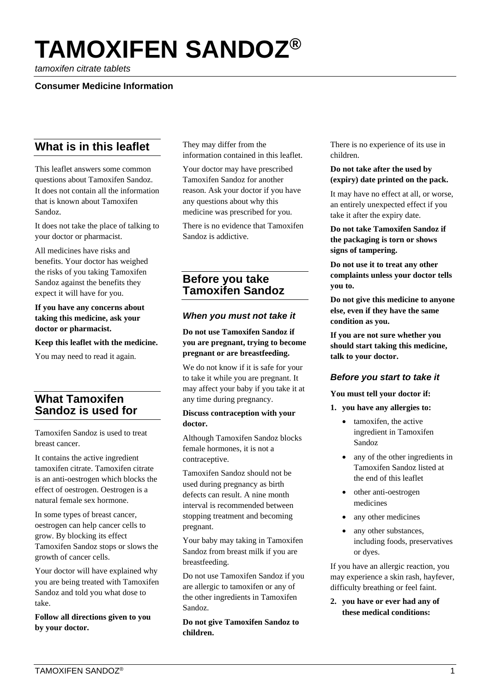# **TAMOXIFEN SANDOZ®**

*tamoxifen citrate tablets*

## **Consumer Medicine Information**

# **What is in this leaflet**

This leaflet answers some common questions about Tamoxifen Sandoz. It does not contain all the information that is known about Tamoxifen Sandoz.

It does not take the place of talking to your doctor or pharmacist.

All medicines have risks and benefits. Your doctor has weighed the risks of you taking Tamoxifen Sandoz against the benefits they expect it will have for you.

## **If you have any concerns about taking this medicine, ask your doctor or pharmacist.**

**Keep this leaflet with the medicine.**

You may need to read it again.

# **What Tamoxifen Sandoz is used for**

Tamoxifen Sandoz is used to treat breast cancer.

It contains the active ingredient tamoxifen citrate. Tamoxifen citrate is an anti-oestrogen which blocks the effect of oestrogen. Oestrogen is a natural female sex hormone.

In some types of breast cancer, oestrogen can help cancer cells to grow. By blocking its effect Tamoxifen Sandoz stops or slows the growth of cancer cells.

Your doctor will have explained why you are being treated with Tamoxifen Sandoz and told you what dose to take.

**Follow all directions given to you by your doctor.**

They may differ from the information contained in this leaflet.

Your doctor may have prescribed Tamoxifen Sandoz for another reason. Ask your doctor if you have any questions about why this medicine was prescribed for you.

There is no evidence that Tamoxifen Sandoz is addictive.

# **Before you take Tamoxifen Sandoz**

## *When you must not take it*

## **Do not use Tamoxifen Sandoz if you are pregnant, trying to become pregnant or are breastfeeding.**

We do not know if it is safe for your to take it while you are pregnant. It may affect your baby if you take it at any time during pregnancy.

#### **Discuss contraception with your doctor.**

Although Tamoxifen Sandoz blocks female hormones, it is not a contraceptive.

Tamoxifen Sandoz should not be used during pregnancy as birth defects can result. A nine month interval is recommended between stopping treatment and becoming pregnant.

Your baby may taking in Tamoxifen Sandoz from breast milk if you are breastfeeding.

Do not use Tamoxifen Sandoz if you are allergic to tamoxifen or any of the other ingredients in Tamoxifen Sandoz.

**Do not give Tamoxifen Sandoz to children.**

There is no experience of its use in children.

#### **Do not take after the used by (expiry) date printed on the pack.**

It may have no effect at all, or worse, an entirely unexpected effect if you take it after the expiry date.

**Do not take Tamoxifen Sandoz if the packaging is torn or shows signs of tampering.**

**Do not use it to treat any other complaints unless your doctor tells you to.**

**Do not give this medicine to anyone else, even if they have the same condition as you.**

**If you are not sure whether you should start taking this medicine, talk to your doctor.**

# *Before you start to take it*

#### **You must tell your doctor if:**

- **1. you have any allergies to:**
	- tamoxifen, the active ingredient in Tamoxifen Sandoz
	- any of the other ingredients in Tamoxifen Sandoz listed at the end of this leaflet
	- other anti-oestrogen medicines
	- any other medicines
	- any other substances, including foods, preservatives or dyes.

If you have an allergic reaction, you may experience a skin rash, hayfever, difficulty breathing or feel faint.

**2. you have or ever had any of these medical conditions:**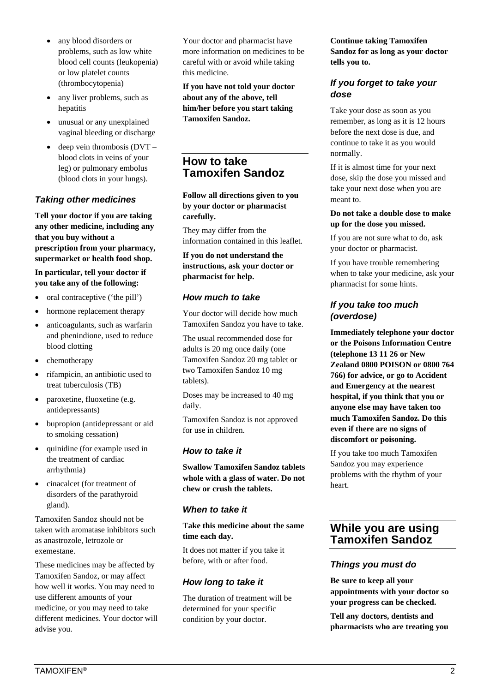- any blood disorders or problems, such as low white blood cell counts (leukopenia) or low platelet counts (thrombocytopenia)
- any liver problems, such as hepatitis
- unusual or any unexplained vaginal bleeding or discharge
- $\bullet$  deep vein thrombosis (DVT blood clots in veins of your leg) or pulmonary embolus (blood clots in your lungs).

# *Taking other medicines*

**Tell your doctor if you are taking any other medicine, including any that you buy without a prescription from your pharmacy, supermarket or health food shop.**

#### **In particular, tell your doctor if you take any of the following:**

- oral contraceptive ('the pill')
- hormone replacement therapy
- anticoagulants, such as warfarin and phenindione, used to reduce blood clotting
- chemotherapy
- rifampicin, an antibiotic used to treat tuberculosis (TB)
- paroxetine, fluoxetine (e.g. antidepressants)
- bupropion (antidepressant or aid to smoking cessation)
- quinidine (for example used in the treatment of cardiac arrhythmia)
- cinacalcet (for treatment of disorders of the parathyroid gland).

Tamoxifen Sandoz should not be taken with aromatase inhibitors such as anastrozole, letrozole or exemestane.

These medicines may be affected by Tamoxifen Sandoz, or may affect how well it works. You may need to use different amounts of your medicine, or you may need to take different medicines. Your doctor will advise you.

Your doctor and pharmacist have more information on medicines to be careful with or avoid while taking this medicine.

**If you have not told your doctor about any of the above, tell him/her before you start taking Tamoxifen Sandoz.**

# **How to take Tamoxifen Sandoz**

**Follow all directions given to you by your doctor or pharmacist carefully.** 

They may differ from the information contained in this leaflet.

**If you do not understand the instructions, ask your doctor or pharmacist for help.** 

# *How much to take*

Your doctor will decide how much Tamoxifen Sandoz you have to take.

The usual recommended dose for adults is 20 mg once daily (one Tamoxifen Sandoz 20 mg tablet or two Tamoxifen Sandoz 10 mg tablets).

Doses may be increased to 40 mg daily.

Tamoxifen Sandoz is not approved for use in children.

# *How to take it*

**Swallow Tamoxifen Sandoz tablets whole with a glass of water. Do not chew or crush the tablets.**

# *When to take it*

**Take this medicine about the same time each day.**

It does not matter if you take it before, with or after food.

# *How long to take it*

The duration of treatment will be determined for your specific condition by your doctor.

**Continue taking Tamoxifen Sandoz for as long as your doctor tells you to.**

# *If you forget to take your dose*

Take your dose as soon as you remember, as long as it is 12 hours before the next dose is due, and continue to take it as you would normally.

If it is almost time for your next dose, skip the dose you missed and take your next dose when you are meant to.

#### **Do not take a double dose to make up for the dose you missed.**

If you are not sure what to do, ask your doctor or pharmacist.

If you have trouble remembering when to take your medicine, ask your pharmacist for some hints.

# *If you take too much (overdose)*

**Immediately telephone your doctor or the Poisons Information Centre (telephone 13 11 26 or New Zealand 0800 POISON or 0800 764 766) for advice, or go to Accident and Emergency at the nearest hospital, if you think that you or anyone else may have taken too much Tamoxifen Sandoz. Do this even if there are no signs of discomfort or poisoning.** 

If you take too much Tamoxifen Sandoz you may experience problems with the rhythm of your heart.

# **While you are using Tamoxifen Sandoz**

# *Things you must do*

**Be sure to keep all your appointments with your doctor so your progress can be checked.**

**Tell any doctors, dentists and pharmacists who are treating you**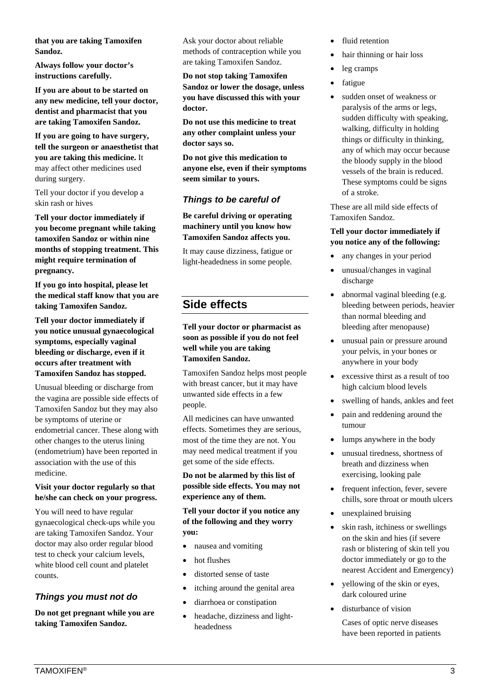**that you are taking Tamoxifen Sandoz.**

**Always follow your doctor's instructions carefully.**

**If you are about to be started on any new medicine, tell your doctor, dentist and pharmacist that you are taking Tamoxifen Sandoz.**

**If you are going to have surgery, tell the surgeon or anaesthetist that you are taking this medicine.** It may affect other medicines used during surgery.

Tell your doctor if you develop a skin rash or hives

**Tell your doctor immediately if you become pregnant while taking tamoxifen Sandoz or within nine months of stopping treatment. This might require termination of pregnancy.** 

**If you go into hospital, please let the medical staff know that you are taking Tamoxifen Sandoz.**

**Tell your doctor immediately if you notice unusual gynaecological symptoms, especially vaginal bleeding or discharge, even if it occurs after treatment with Tamoxifen Sandoz has stopped.** 

Unusual bleeding or discharge from the vagina are possible side effects of Tamoxifen Sandoz but they may also be symptoms of uterine or endometrial cancer. These along with other changes to the uterus lining (endometrium) have been reported in association with the use of this medicine.

#### **Visit your doctor regularly so that he/she can check on your progress.**

You will need to have regular gynaecological check-ups while you are taking Tamoxifen Sandoz. Your doctor may also order regular blood test to check your calcium levels, white blood cell count and platelet counts.

# *Things you must not do*

**Do not get pregnant while you are taking Tamoxifen Sandoz.**

Ask your doctor about reliable methods of contraception while you are taking Tamoxifen Sandoz.

**Do not stop taking Tamoxifen Sandoz or lower the dosage, unless you have discussed this with your doctor.**

**Do not use this medicine to treat any other complaint unless your doctor says so.**

**Do not give this medication to anyone else, even if their symptoms seem similar to yours.**

# *Things to be careful of*

**Be careful driving or operating machinery until you know how Tamoxifen Sandoz affects you.**

It may cause dizziness, fatigue or light-headedness in some people.

# **Side effects**

## **Tell your doctor or pharmacist as soon as possible if you do not feel well while you are taking Tamoxifen Sandoz.**

Tamoxifen Sandoz helps most people with breast cancer, but it may have unwanted side effects in a few people.

All medicines can have unwanted effects. Sometimes they are serious, most of the time they are not. You may need medical treatment if you get some of the side effects.

**Do not be alarmed by this list of possible side effects. You may not experience any of them.**

**Tell your doctor if you notice any of the following and they worry you:**

- nausea and vomiting
- hot flushes
- distorted sense of taste
- itching around the genital area
- diarrhoea or constipation
- headache, dizziness and lightheadedness
- fluid retention
- hair thinning or hair loss
- leg cramps
- fatigue
- sudden onset of weakness or paralysis of the arms or legs, sudden difficulty with speaking, walking, difficulty in holding things or difficulty in thinking, any of which may occur because the bloody supply in the blood vessels of the brain is reduced. These symptoms could be signs of a stroke.

These are all mild side effects of Tamoxifen Sandoz.

#### **Tell your doctor immediately if you notice any of the following:**

- any changes in your period
- unusual/changes in vaginal discharge
- abnormal vaginal bleeding (e.g. bleeding between periods, heavier than normal bleeding and bleeding after menopause)
- unusual pain or pressure around your pelvis, in your bones or anywhere in your body
- excessive thirst as a result of too high calcium blood levels
- swelling of hands, ankles and feet
- pain and reddening around the tumour
- lumps anywhere in the body
- unusual tiredness, shortness of breath and dizziness when exercising, looking pale
- frequent infection, fever, severe chills, sore throat or mouth ulcers
- unexplained bruising
- skin rash, itchiness or swellings on the skin and hies (if severe rash or blistering of skin tell you doctor immediately or go to the nearest Accident and Emergency)
- yellowing of the skin or eyes, dark coloured urine
- disturbance of vision

Cases of optic nerve diseases have been reported in patients